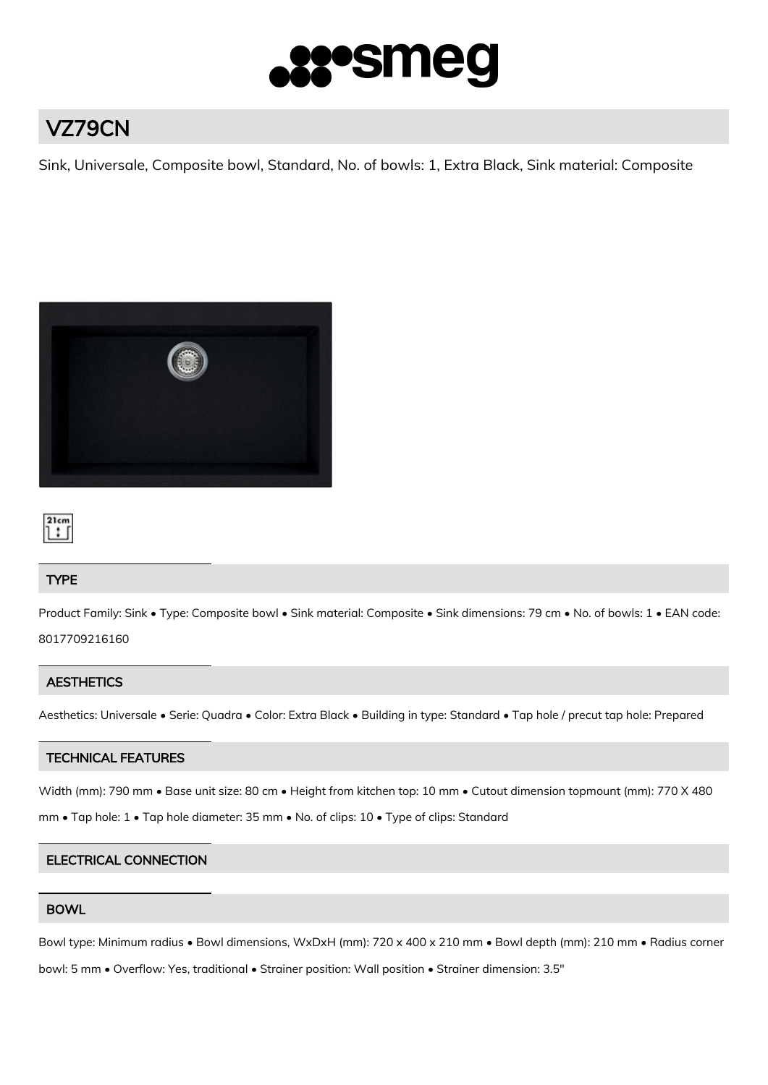

# VZ79CN

Sink, Universale, Composite bowl, Standard, No. of bowls: 1, Extra Black, Sink material: Composite





# TYPE

Product Family: Sink • Type: Composite bowl • Sink material: Composite • Sink dimensions: 79 cm • No. of bowls: 1 • EAN code: 8017709216160

# **AESTHETICS**

Aesthetics: Universale • Serie: Quadra • Color: Extra Black • Building in type: Standard • Tap hole / precut tap hole: Prepared

# TECHNICAL FEATURES

Width (mm): 790 mm • Base unit size: 80 cm • Height from kitchen top: 10 mm • Cutout dimension topmount (mm): 770 X 480

mm • Tap hole: 1 • Tap hole diameter: 35 mm • No. of clips: 10 • Type of clips: Standard

# ELECTRICAL CONNECTION

# BOWL

Bowl type: Minimum radius • Bowl dimensions, WxDxH (mm): 720 x 400 x 210 mm • Bowl depth (mm): 210 mm • Radius corner

bowl: 5 mm • Overflow: Yes, traditional • Strainer position: Wall position • Strainer dimension: 3.5"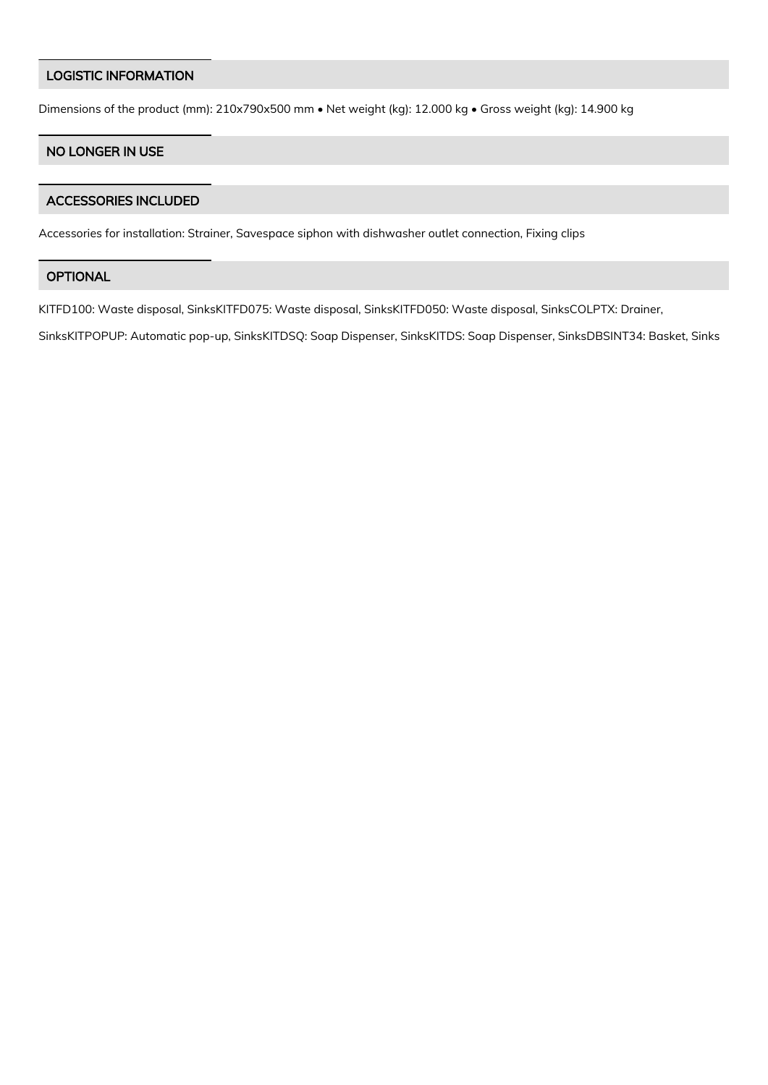#### LOGISTIC INFORMATION

Dimensions of the product (mm): 210x790x500 mm • Net weight (kg): 12.000 kg • Gross weight (kg): 14.900 kg

# NO LONGER IN USE

#### ACCESSORIES INCLUDED

Accessories for installation: Strainer, Savespace siphon with dishwasher outlet connection, Fixing clips

#### **OPTIONAL**

KITFD100: Waste disposal, SinksKITFD075: Waste disposal, SinksKITFD050: Waste disposal, SinksCOLPTX: Drainer,

SinksKITPOPUP: Automatic pop-up, SinksKITDSQ: Soap Dispenser, SinksKITDS: Soap Dispenser, SinksDBSINT34: Basket, Sinks